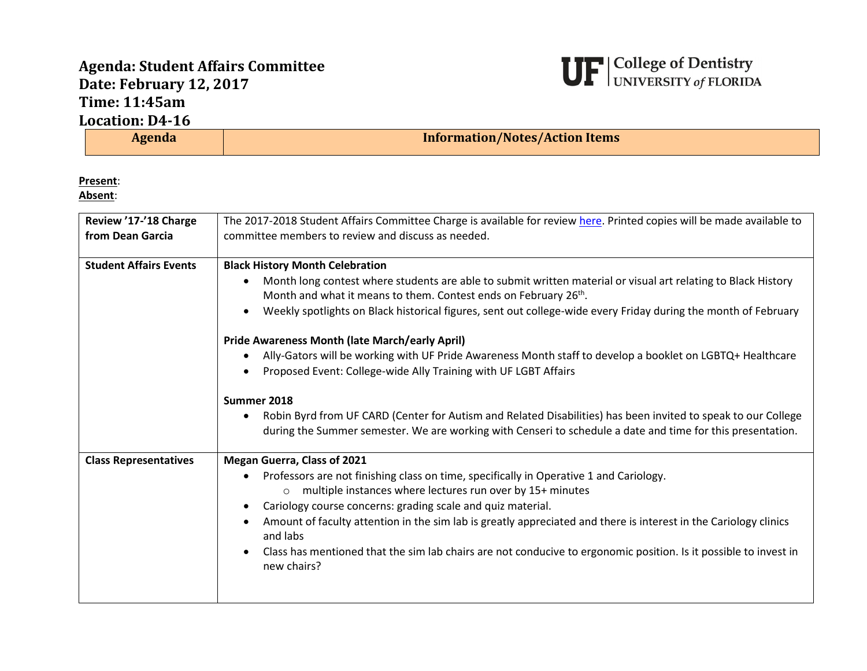## **Agenda: Student Affairs Committee Date: February 12, 2017 Time: 11:45am Location: D4-16**



| Agenda                                    | <b>Information/Notes/Action Items</b>                                                                                                                                                                                                                                                                                                                                                                                                                                                                                                                                                                                                                                                                                                                                                                                               |
|-------------------------------------------|-------------------------------------------------------------------------------------------------------------------------------------------------------------------------------------------------------------------------------------------------------------------------------------------------------------------------------------------------------------------------------------------------------------------------------------------------------------------------------------------------------------------------------------------------------------------------------------------------------------------------------------------------------------------------------------------------------------------------------------------------------------------------------------------------------------------------------------|
| Present:<br>Absent:                       |                                                                                                                                                                                                                                                                                                                                                                                                                                                                                                                                                                                                                                                                                                                                                                                                                                     |
| Review '17-'18 Charge<br>from Dean Garcia | The 2017-2018 Student Affairs Committee Charge is available for review here. Printed copies will be made available to<br>committee members to review and discuss as needed.                                                                                                                                                                                                                                                                                                                                                                                                                                                                                                                                                                                                                                                         |
| <b>Student Affairs Events</b>             | <b>Black History Month Celebration</b><br>Month long contest where students are able to submit written material or visual art relating to Black History<br>Month and what it means to them. Contest ends on February 26th.<br>Weekly spotlights on Black historical figures, sent out college-wide every Friday during the month of February<br><b>Pride Awareness Month (late March/early April)</b><br>Ally-Gators will be working with UF Pride Awareness Month staff to develop a booklet on LGBTQ+ Healthcare<br>Proposed Event: College-wide Ally Training with UF LGBT Affairs<br>Summer 2018<br>Robin Byrd from UF CARD (Center for Autism and Related Disabilities) has been invited to speak to our College<br>during the Summer semester. We are working with Censeri to schedule a date and time for this presentation. |
| <b>Class Representatives</b>              | <b>Megan Guerra, Class of 2021</b><br>Professors are not finishing class on time, specifically in Operative 1 and Cariology.<br>multiple instances where lectures run over by 15+ minutes<br>Cariology course concerns: grading scale and quiz material.<br>Amount of faculty attention in the sim lab is greatly appreciated and there is interest in the Cariology clinics<br>and labs<br>Class has mentioned that the sim lab chairs are not conducive to ergonomic position. Is it possible to invest in<br>new chairs?                                                                                                                                                                                                                                                                                                         |